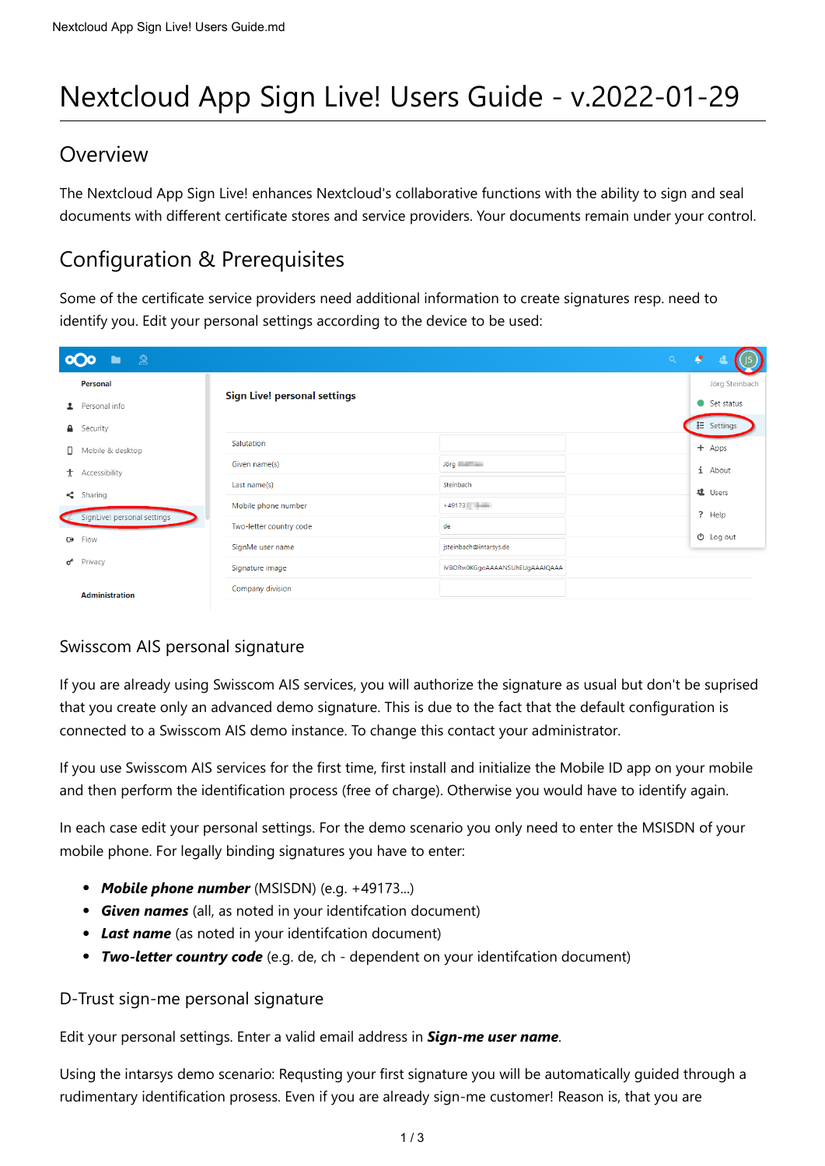# Nextcloud App Sign Live! Users Guide - v.2022-01-29

### Overview

The Nextcloud App Sign Live! enhances Nextcloud's collaborative functions with the ability to sign and seal documents with different certificate stores and service providers. Your documents remain under your control.

# Configuration & Prerequisites

Some of the certificate service providers need additional information to create signatures resp. need to identify you. Edit your personal settings according to the device to be used:

| ුලු<br>Q<br>$\alpha$ |                             |                                     |                                           |  |  |                      |
|----------------------|-----------------------------|-------------------------------------|-------------------------------------------|--|--|----------------------|
|                      | Personal                    |                                     |                                           |  |  | Jörg Steinbach       |
|                      | Personal info               | <b>Sign Live! personal settings</b> |                                           |  |  | $\bullet$ Set status |
| $\mathbf{a}$         | Security                    |                                     |                                           |  |  | E Settings           |
| $\Box$               | Mobile & desktop            | Salutation                          |                                           |  |  | + Apps               |
| $\ddot{\tau}$        | Accessibility               | Given name(s)                       | Jörg <b>Communist Communist Communist</b> |  |  | $i$ About            |
| $\leq$               | Sharing                     | Last name(s)                        | Steinbach                                 |  |  | <b>退</b> Users       |
|                      | SignLive! personal settings | Mobile phone number                 | $+49173$                                  |  |  | ? Help               |
|                      |                             | Two-letter country code             | de                                        |  |  | $\Phi$ Log out       |
| <b>O</b>             | Flow                        | SignMe user name                    | jsteinbach@intarsys.de                    |  |  |                      |
| ď                    | Privacy                     | Signature image                     | iVBORw0KGgoAAAANSUhEUgAAAIQAAA            |  |  |                      |
|                      | <b>Administration</b>       | Company division                    |                                           |  |  |                      |

### Swisscom AIS personal signature

If you are already using Swisscom AIS services, you will authorize the signature as usual but don't be suprised that you create only an advanced demo signature. This is due to the fact that the default configuration is connected to a Swisscom AIS demo instance. To change this contact your administrator.

If you use Swisscom AIS services for the first time, first install and initialize the Mobile ID app on your mobile and then perform the identification process (free of charge). Otherwise you would have to identify again.

In each case edit your personal settings. For the demo scenario you only need to enter the MSISDN of your mobile phone. For legally binding signatures you have to enter:

- *Mobile phone number* (MSISDN) (e.g. +49173...)
- *Given names* (all, as noted in your identifcation document)
- *Last name* (as noted in your identifcation document)
- *Two-letter country code* (e.g. de, ch dependent on your identifcation document)

#### D-Trust sign-me personal signature

#### Edit your personal settings. Enter a valid email address in *Sign-me user name*.

Using the intarsys demo scenario: Requsting your first signature you will be automatically guided through a rudimentary identification prosess. Even if you are already sign-me customer! Reason is, that you are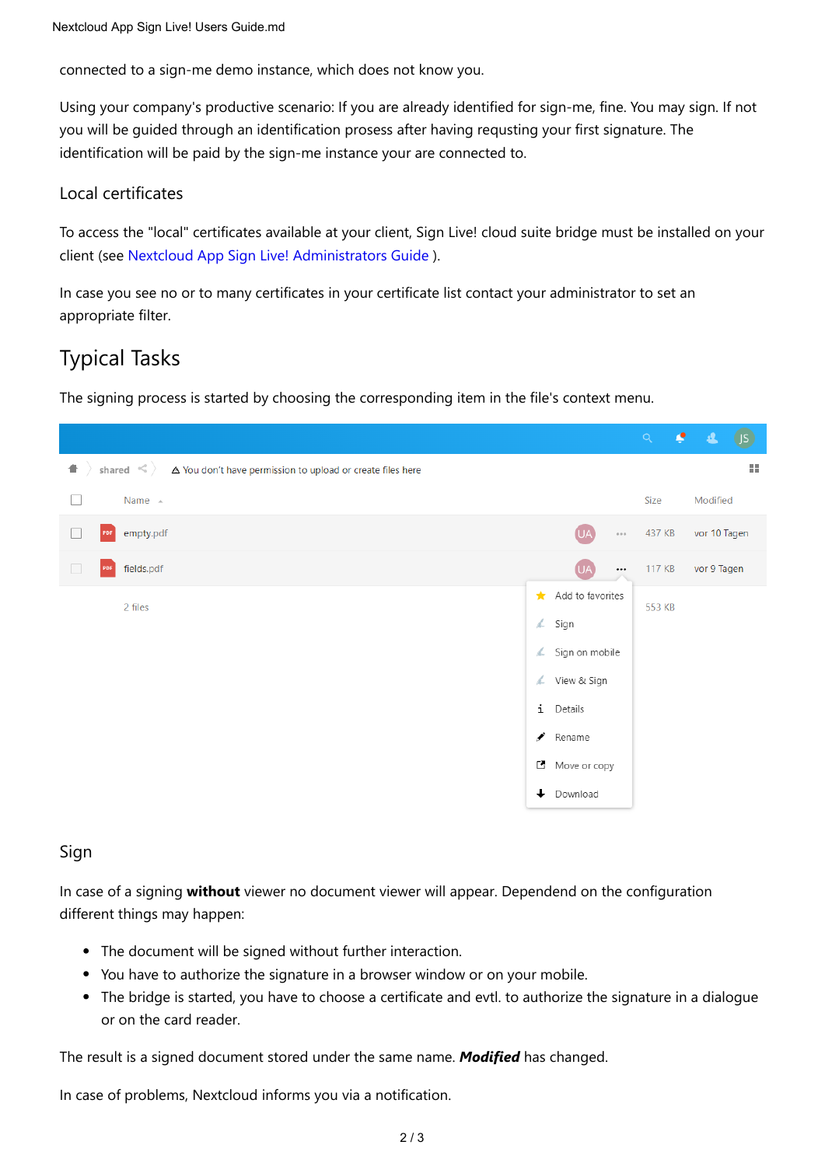connected to a sign-me demo instance, which does not know you.

Using your company's productive scenario: If you are already identified for sign-me, fine. You may sign. If not you will be guided through an identification prosess after having requsting your first signature. The identification will be paid by the sign-me instance your are connected to.

#### Local certificates

To access the "local" certificates available at your client, Sign Live! cloud suite bridge must be installed on your client (see [Nextcloud App Sign Live! Administrators Guide](https://www.intarsys.de/node/1283/attachment) ).

In case you see no or to many certificates in your certificate list contact your administrator to set an appropriate filter.

# Typical Tasks

The signing process is started by choosing the corresponding item in the file's context menu.



#### Sign

In case of a signing **without** viewer no document viewer will appear. Dependend on the configuration different things may happen:

- The document will be signed without further interaction.
- You have to authorize the signature in a browser window or on your mobile.
- The bridge is started, you have to choose a certificate and evtl. to authorize the signature in a dialogue or on the card reader.

The result is a signed document stored under the same name. *Modified* has changed.

In case of problems, Nextcloud informs you via a notification.